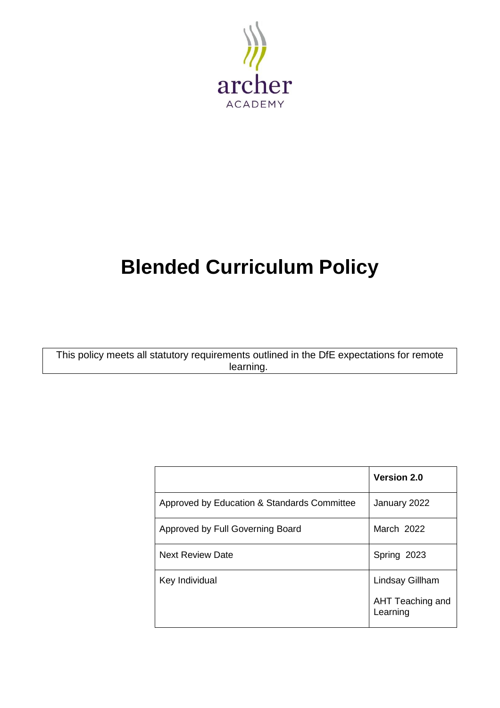

# **Blended Curriculum Policy**

This policy meets all statutory requirements outlined in the DfE expectations for remote learning.

|                                             | <b>Version 2.0</b>           |  |
|---------------------------------------------|------------------------------|--|
| Approved by Education & Standards Committee | January 2022                 |  |
| Approved by Full Governing Board            | March 2022                   |  |
| <b>Next Review Date</b>                     | Spring 2023                  |  |
| Key Individual                              | Lindsay Gillham              |  |
|                                             | AHT Teaching and<br>Learning |  |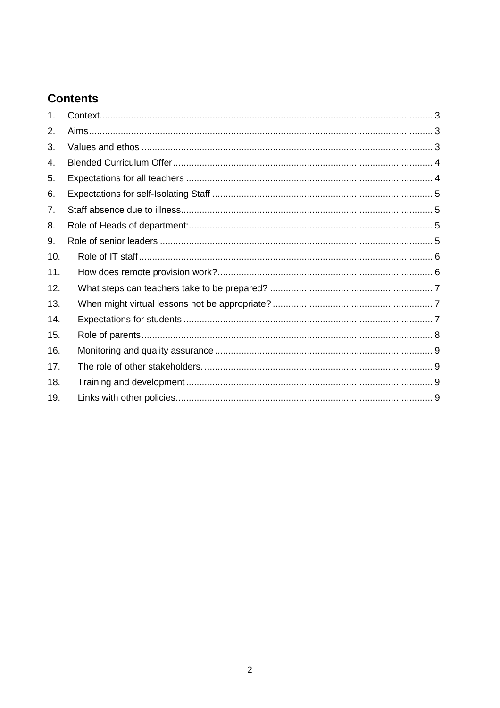## **Contents**

| 1.  |  |
|-----|--|
| 2.  |  |
| 3.  |  |
| 4.  |  |
| 5.  |  |
| 6.  |  |
| 7.  |  |
| 8.  |  |
| 9.  |  |
| 10. |  |
| 11. |  |
| 12. |  |
| 13. |  |
| 14. |  |
| 15. |  |
| 16. |  |
| 17. |  |
| 18. |  |
| 19. |  |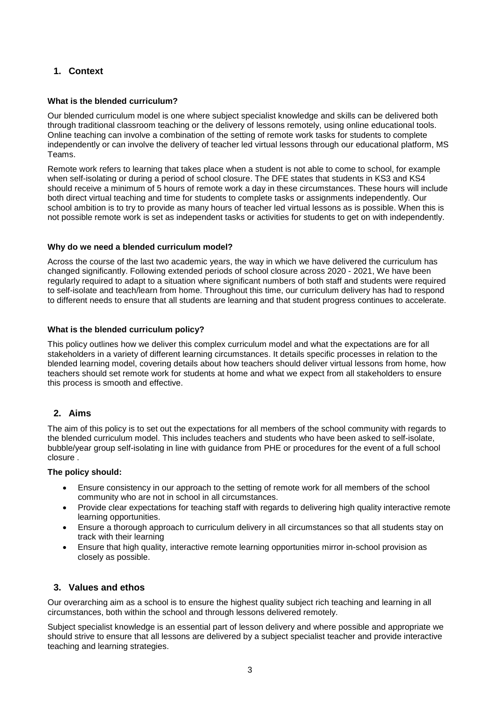## **1. Context**

#### **What is the blended curriculum?**

Our blended curriculum model is one where subject specialist knowledge and skills can be delivered both through traditional classroom teaching or the delivery of lessons remotely, using online educational tools. Online teaching can involve a combination of the setting of remote work tasks for students to complete independently or can involve the delivery of teacher led virtual lessons through our educational platform, MS Teams.

Remote work refers to learning that takes place when a student is not able to come to school, for example when self-isolating or during a period of school closure. The DFE states that students in KS3 and KS4 should receive a minimum of 5 hours of remote work a day in these circumstances. These hours will include both direct virtual teaching and time for students to complete tasks or assignments independently. Our school ambition is to try to provide as many hours of teacher led virtual lessons as is possible. When this is not possible remote work is set as independent tasks or activities for students to get on with independently.

#### **Why do we need a blended curriculum model?**

Across the course of the last two academic years, the way in which we have delivered the curriculum has changed significantly. Following extended periods of school closure across 2020 - 2021, We have been regularly required to adapt to a situation where significant numbers of both staff and students were required to self-isolate and teach/learn from home. Throughout this time, our curriculum delivery has had to respond to different needs to ensure that all students are learning and that student progress continues to accelerate.

#### **What is the blended curriculum policy?**

This policy outlines how we deliver this complex curriculum model and what the expectations are for all stakeholders in a variety of different learning circumstances. It details specific processes in relation to the blended learning model, covering details about how teachers should deliver virtual lessons from home, how teachers should set remote work for students at home and what we expect from all stakeholders to ensure this process is smooth and effective.

#### **2. Aims**

The aim of this policy is to set out the expectations for all members of the school community with regards to the blended curriculum model. This includes teachers and students who have been asked to self-isolate, bubble/year group self-isolating in line with guidance from PHE or procedures for the event of a full school closure .

#### **The policy should:**

- Ensure consistency in our approach to the setting of remote work for all members of the school community who are not in school in all circumstances.
- Provide clear expectations for teaching staff with regards to delivering high quality interactive remote learning opportunities.
- Ensure a thorough approach to curriculum delivery in all circumstances so that all students stay on track with their learning
- Ensure that high quality, interactive remote learning opportunities mirror in-school provision as closely as possible.

## **3. Values and ethos**

Our overarching aim as a school is to ensure the highest quality subject rich teaching and learning in all circumstances, both within the school and through lessons delivered remotely.

Subject specialist knowledge is an essential part of lesson delivery and where possible and appropriate we should strive to ensure that all lessons are delivered by a subject specialist teacher and provide interactive teaching and learning strategies.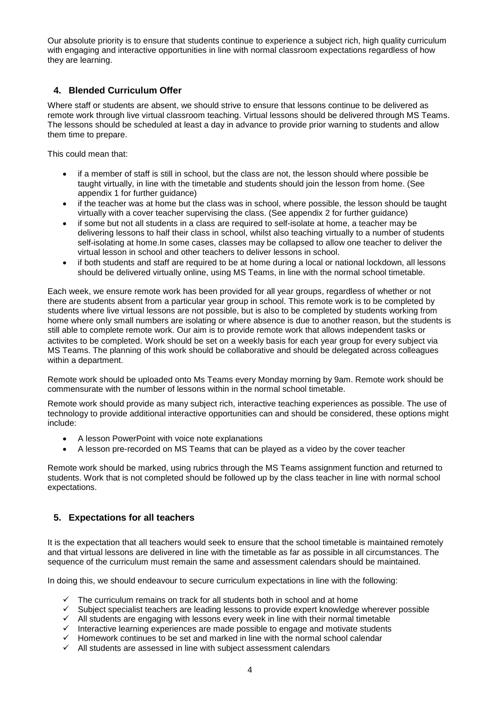Our absolute priority is to ensure that students continue to experience a subject rich, high quality curriculum with engaging and interactive opportunities in line with normal classroom expectations regardless of how they are learning.

## **4. Blended Curriculum Offer**

Where staff or students are absent, we should strive to ensure that lessons continue to be delivered as remote work through live virtual classroom teaching. Virtual lessons should be delivered through MS Teams. The lessons should be scheduled at least a day in advance to provide prior warning to students and allow them time to prepare.

This could mean that:

- if a member of staff is still in school, but the class are not, the lesson should where possible be taught virtually, in line with the timetable and students should join the lesson from home. (See appendix 1 for further guidance)
- if the teacher was at home but the class was in school, where possible, the lesson should be taught virtually with a cover teacher supervising the class. (See appendix 2 for further guidance)
- if some but not all students in a class are required to self-isolate at home, a teacher may be delivering lessons to half their class in school, whilst also teaching virtually to a number of students self-isolating at home.In some cases, classes may be collapsed to allow one teacher to deliver the virtual lesson in school and other teachers to deliver lessons in school.
- if both students and staff are required to be at home during a local or national lockdown, all lessons should be delivered virtually online, using MS Teams, in line with the normal school timetable.

Each week, we ensure remote work has been provided for all year groups, regardless of whether or not there are students absent from a particular year group in school. This remote work is to be completed by students where live virtual lessons are not possible, but is also to be completed by students working from home where only small numbers are isolating or where absence is due to another reason, but the students is still able to complete remote work. Our aim is to provide remote work that allows independent tasks or activites to be completed. Work should be set on a weekly basis for each year group for every subject via MS Teams. The planning of this work should be collaborative and should be delegated across colleagues within a department.

Remote work should be uploaded onto Ms Teams every Monday morning by 9am. Remote work should be commensurate with the number of lessons within in the normal school timetable.

Remote work should provide as many subject rich, interactive teaching experiences as possible. The use of technology to provide additional interactive opportunities can and should be considered, these options might include:

- A lesson PowerPoint with voice note explanations
- A lesson pre-recorded on MS Teams that can be played as a video by the cover teacher

Remote work should be marked, using rubrics through the MS Teams assignment function and returned to students. Work that is not completed should be followed up by the class teacher in line with normal school expectations.

## **5. Expectations for all teachers**

It is the expectation that all teachers would seek to ensure that the school timetable is maintained remotely and that virtual lessons are delivered in line with the timetable as far as possible in all circumstances. The sequence of the curriculum must remain the same and assessment calendars should be maintained.

In doing this, we should endeavour to secure curriculum expectations in line with the following:

- $\checkmark$  The curriculum remains on track for all students both in school and at home  $\checkmark$  Subject specialist teachers are leading lessons to provide expert knowledge
- Subject specialist teachers are leading lessons to provide expert knowledge wherever possible
- $\checkmark$  All students are engaging with lessons every week in line with their normal timetable
- Interactive learning experiences are made possible to engage and motivate students  $\checkmark$  Homework continues to be set and marked in line with the normal school calendar
- Homework continues to be set and marked in line with the normal school calendar
- $\checkmark$  All students are assessed in line with subject assessment calendars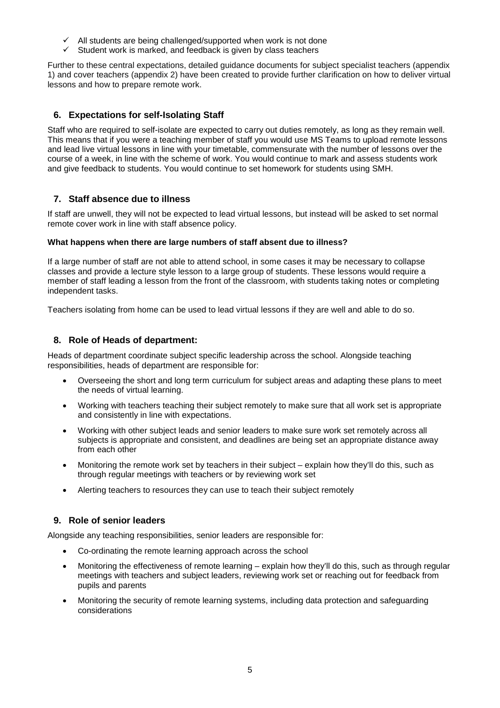- $\checkmark$  All students are being challenged/supported when work is not done
- $\checkmark$  Student work is marked, and feedback is given by class teachers

Further to these central expectations, detailed guidance documents for subject specialist teachers (appendix 1) and cover teachers (appendix 2) have been created to provide further clarification on how to deliver virtual lessons and how to prepare remote work.

## **6. Expectations for self-Isolating Staff**

Staff who are required to self-isolate are expected to carry out duties remotely, as long as they remain well. This means that if you were a teaching member of staff you would use MS Teams to upload remote lessons and lead live virtual lessons in line with your timetable, commensurate with the number of lessons over the course of a week, in line with the scheme of work. You would continue to mark and assess students work and give feedback to students. You would continue to set homework for students using SMH.

## **7. Staff absence due to illness**

If staff are unwell, they will not be expected to lead virtual lessons, but instead will be asked to set normal remote cover work in line with staff absence policy.

### **What happens when there are large numbers of staff absent due to illness?**

If a large number of staff are not able to attend school, in some cases it may be necessary to collapse classes and provide a lecture style lesson to a large group of students. These lessons would require a member of staff leading a lesson from the front of the classroom, with students taking notes or completing independent tasks.

Teachers isolating from home can be used to lead virtual lessons if they are well and able to do so.

## **8. Role of Heads of department:**

Heads of department coordinate subject specific leadership across the school. Alongside teaching responsibilities, heads of department are responsible for:

- Overseeing the short and long term curriculum for subject areas and adapting these plans to meet the needs of virtual learning.
- Working with teachers teaching their subject remotely to make sure that all work set is appropriate and consistently in line with expectations.
- Working with other subject leads and senior leaders to make sure work set remotely across all subjects is appropriate and consistent, and deadlines are being set an appropriate distance away from each other
- Monitoring the remote work set by teachers in their subject explain how they'll do this, such as through regular meetings with teachers or by reviewing work set
- Alerting teachers to resources they can use to teach their subject remotely

## **9. Role of senior leaders**

Alongside any teaching responsibilities, senior leaders are responsible for:

- Co-ordinating the remote learning approach across the school
- Monitoring the effectiveness of remote learning explain how they'll do this, such as through regular meetings with teachers and subject leaders, reviewing work set or reaching out for feedback from pupils and parents
- Monitoring the security of remote learning systems, including data protection and safeguarding considerations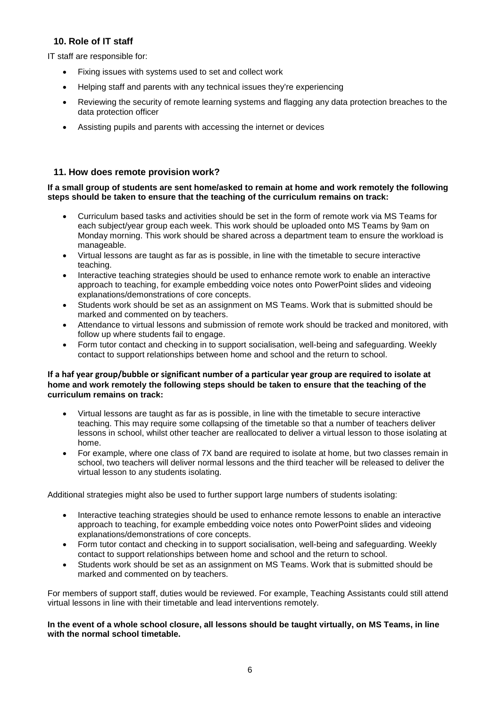## **10. Role of IT staff**

IT staff are responsible for:

- Fixing issues with systems used to set and collect work
- Helping staff and parents with any technical issues they're experiencing
- Reviewing the security of remote learning systems and flagging any data protection breaches to the data protection officer
- Assisting pupils and parents with accessing the internet or devices

### **11. How does remote provision work?**

#### **If a small group of students are sent home/asked to remain at home and work remotely the following steps should be taken to ensure that the teaching of the curriculum remains on track:**

- Curriculum based tasks and activities should be set in the form of remote work via MS Teams for each subject/year group each week. This work should be uploaded onto MS Teams by 9am on Monday morning. This work should be shared across a department team to ensure the workload is manageable.
- Virtual lessons are taught as far as is possible, in line with the timetable to secure interactive teaching.
- Interactive teaching strategies should be used to enhance remote work to enable an interactive approach to teaching, for example embedding voice notes onto PowerPoint slides and videoing explanations/demonstrations of core concepts.
- Students work should be set as an assignment on MS Teams. Work that is submitted should be marked and commented on by teachers.
- Attendance to virtual lessons and submission of remote work should be tracked and monitored, with follow up where students fail to engage.
- Form tutor contact and checking in to support socialisation, well-being and safeguarding. Weekly contact to support relationships between home and school and the return to school.

#### **If a haf year group/bubble or significant number of a particular year group are required to isolate at home and work remotely the following steps should be taken to ensure that the teaching of the curriculum remains on track:**

- Virtual lessons are taught as far as is possible, in line with the timetable to secure interactive teaching. This may require some collapsing of the timetable so that a number of teachers deliver lessons in school, whilst other teacher are reallocated to deliver a virtual lesson to those isolating at home.
- For example, where one class of 7X band are required to isolate at home, but two classes remain in school, two teachers will deliver normal lessons and the third teacher will be released to deliver the virtual lesson to any students isolating.

Additional strategies might also be used to further support large numbers of students isolating:

- Interactive teaching strategies should be used to enhance remote lessons to enable an interactive approach to teaching, for example embedding voice notes onto PowerPoint slides and videoing explanations/demonstrations of core concepts.
- Form tutor contact and checking in to support socialisation, well-being and safeguarding. Weekly contact to support relationships between home and school and the return to school.
- Students work should be set as an assignment on MS Teams. Work that is submitted should be marked and commented on by teachers.

For members of support staff, duties would be reviewed. For example, Teaching Assistants could still attend virtual lessons in line with their timetable and lead interventions remotely.

**In the event of a whole school closure, all lessons should be taught virtually, on MS Teams, in line with the normal school timetable.**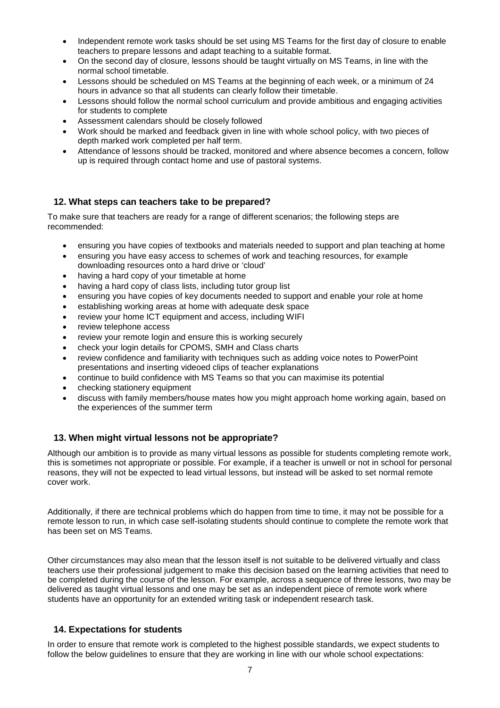- Independent remote work tasks should be set using MS Teams for the first day of closure to enable teachers to prepare lessons and adapt teaching to a suitable format.
- On the second day of closure, lessons should be taught virtually on MS Teams, in line with the normal school timetable.
- Lessons should be scheduled on MS Teams at the beginning of each week, or a minimum of 24 hours in advance so that all students can clearly follow their timetable.
- Lessons should follow the normal school curriculum and provide ambitious and engaging activities for students to complete
- Assessment calendars should be closely followed
- Work should be marked and feedback given in line with whole school policy, with two pieces of depth marked work completed per half term.
- Attendance of lessons should be tracked, monitored and where absence becomes a concern, follow up is required through contact home and use of pastoral systems.

### **12. What steps can teachers take to be prepared?**

To make sure that teachers are ready for a range of different scenarios; the following steps are recommended:

- ensuring you have copies of textbooks and materials needed to support and plan teaching at home
- ensuring you have easy access to schemes of work and teaching resources, for example downloading resources onto a hard drive or 'cloud'
- having a hard copy of your timetable at home
- having a hard copy of class lists, including tutor group list
- ensuring you have copies of key documents needed to support and enable your role at home
- establishing working areas at home with adequate desk space
- review your home ICT equipment and access, including WIFI
- review telephone access
- review your remote login and ensure this is working securely
- check your login details for CPOMS, SMH and Class charts
- review confidence and familiarity with techniques such as adding voice notes to PowerPoint presentations and inserting videoed clips of teacher explanations
- continue to build confidence with MS Teams so that you can maximise its potential
- checking stationery equipment
- discuss with family members/house mates how you might approach home working again, based on the experiences of the summer term

## **13. When might virtual lessons not be appropriate?**

Although our ambition is to provide as many virtual lessons as possible for students completing remote work, this is sometimes not appropriate or possible. For example, if a teacher is unwell or not in school for personal reasons, they will not be expected to lead virtual lessons, but instead will be asked to set normal remote cover work.

Additionally, if there are technical problems which do happen from time to time, it may not be possible for a remote lesson to run, in which case self-isolating students should continue to complete the remote work that has been set on MS Teams.

Other circumstances may also mean that the lesson itself is not suitable to be delivered virtually and class teachers use their professional judgement to make this decision based on the learning activities that need to be completed during the course of the lesson. For example, across a sequence of three lessons, two may be delivered as taught virtual lessons and one may be set as an independent piece of remote work where students have an opportunity for an extended writing task or independent research task.

#### **14. Expectations for students**

In order to ensure that remote work is completed to the highest possible standards, we expect students to follow the below guidelines to ensure that they are working in line with our whole school expectations: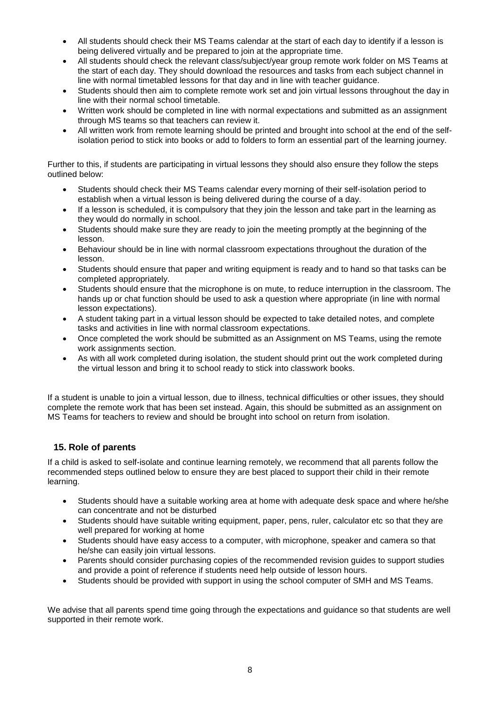- All students should check their MS Teams calendar at the start of each day to identify if a lesson is being delivered virtually and be prepared to join at the appropriate time.
- All students should check the relevant class/subject/year group remote work folder on MS Teams at the start of each day. They should download the resources and tasks from each subject channel in line with normal timetabled lessons for that day and in line with teacher guidance.
- Students should then aim to complete remote work set and join virtual lessons throughout the day in line with their normal school timetable.
- Written work should be completed in line with normal expectations and submitted as an assignment through MS teams so that teachers can review it.
- All written work from remote learning should be printed and brought into school at the end of the selfisolation period to stick into books or add to folders to form an essential part of the learning journey.

Further to this, if students are participating in virtual lessons they should also ensure they follow the steps outlined below:

- Students should check their MS Teams calendar every morning of their self-isolation period to establish when a virtual lesson is being delivered during the course of a day.
- If a lesson is scheduled, it is compulsory that they join the lesson and take part in the learning as they would do normally in school.
- Students should make sure they are ready to join the meeting promptly at the beginning of the lesson.
- Behaviour should be in line with normal classroom expectations throughout the duration of the lesson.
- Students should ensure that paper and writing equipment is ready and to hand so that tasks can be completed appropriately.
- Students should ensure that the microphone is on mute, to reduce interruption in the classroom. The hands up or chat function should be used to ask a question where appropriate (in line with normal lesson expectations).
- A student taking part in a virtual lesson should be expected to take detailed notes, and complete tasks and activities in line with normal classroom expectations.
- Once completed the work should be submitted as an Assignment on MS Teams, using the remote work assignments section.
- As with all work completed during isolation, the student should print out the work completed during the virtual lesson and bring it to school ready to stick into classwork books.

If a student is unable to join a virtual lesson, due to illness, technical difficulties or other issues, they should complete the remote work that has been set instead. Again, this should be submitted as an assignment on MS Teams for teachers to review and should be brought into school on return from isolation.

## **15. Role of parents**

If a child is asked to self-isolate and continue learning remotely, we recommend that all parents follow the recommended steps outlined below to ensure they are best placed to support their child in their remote learning.

- Students should have a suitable working area at home with adequate desk space and where he/she can concentrate and not be disturbed
- Students should have suitable writing equipment, paper, pens, ruler, calculator etc so that they are well prepared for working at home
- Students should have easy access to a computer, with microphone, speaker and camera so that he/she can easily join virtual lessons.
- Parents should consider purchasing copies of the recommended revision guides to support studies and provide a point of reference if students need help outside of lesson hours.
- Students should be provided with support in using the school computer of SMH and MS Teams.

We advise that all parents spend time going through the expectations and guidance so that students are well supported in their remote work.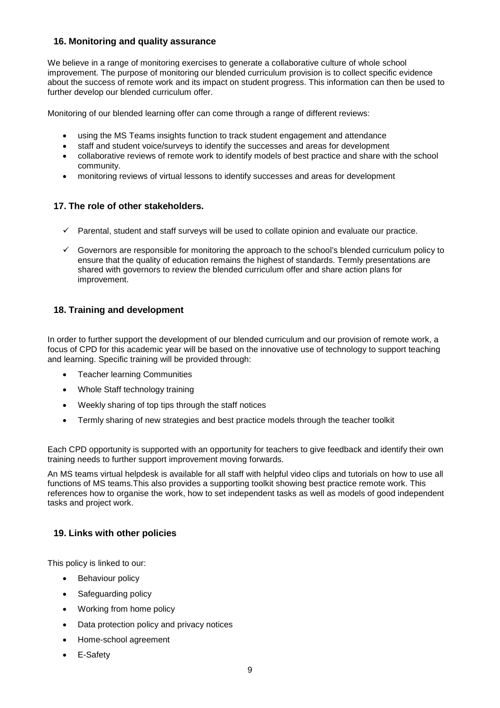## **16. Monitoring and quality assurance**

We believe in a range of monitoring exercises to generate a collaborative culture of whole school improvement. The purpose of monitoring our blended curriculum provision is to collect specific evidence about the success of remote work and its impact on student progress. This information can then be used to further develop our blended curriculum offer.

Monitoring of our blended learning offer can come through a range of different reviews:

- using the MS Teams insights function to track student engagement and attendance
- staff and student voice/surveys to identify the successes and areas for development
- collaborative reviews of remote work to identify models of best practice and share with the school community.
- monitoring reviews of virtual lessons to identify successes and areas for development

## **17. The role of other stakeholders.**

- $\checkmark$  Parental, student and staff surveys will be used to collate opinion and evaluate our practice.
- Governors are responsible for monitoring the approach to the school's blended curriculum policy to ensure that the quality of education remains the highest of standards. Termly presentations are shared with governors to review the blended curriculum offer and share action plans for improvement.

## **18. Training and development**

In order to further support the development of our blended curriculum and our provision of remote work, a focus of CPD for this academic year will be based on the innovative use of technology to support teaching and learning. Specific training will be provided through:

- Teacher learning Communities
- Whole Staff technology training
- Weekly sharing of top tips through the staff notices
- Termly sharing of new strategies and best practice models through the teacher toolkit

Each CPD opportunity is supported with an opportunity for teachers to give feedback and identify their own training needs to further support improvement moving forwards.

An MS teams virtual helpdesk is available for all staff with helpful video clips and tutorials on how to use all functions of MS teams.This also provides a supporting toolkit showing best practice remote work. This references how to organise the work, how to set independent tasks as well as models of good independent tasks and project work.

## **19. Links with other policies**

This policy is linked to our:

- **Behaviour policy**
- Safeguarding policy
- Working from home policy
- Data protection policy and privacy notices
- Home-school agreement
- E-Safety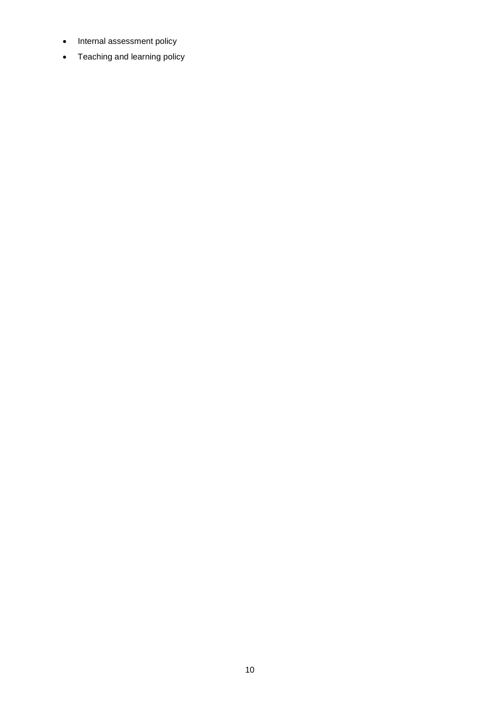- Internal assessment policy
- Teaching and learning policy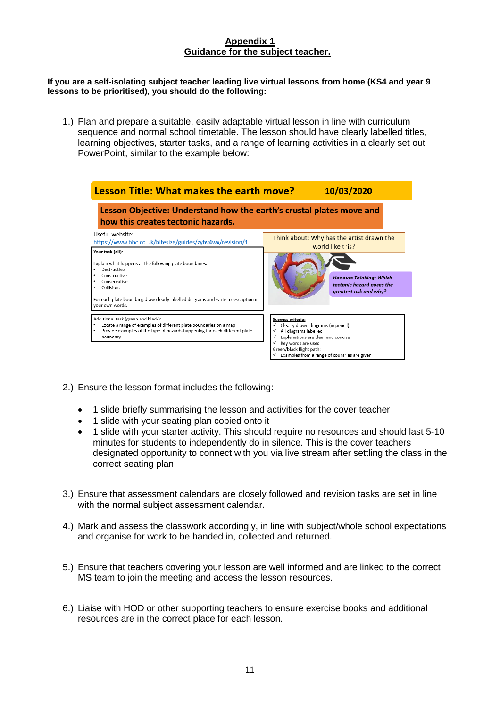## **Appendix 1 Guidance for the subject teacher.**

#### **If you are a self-isolating subject teacher leading live virtual lessons from home (KS4 and year 9 lessons to be prioritised), you should do the following:**

1.) Plan and prepare a suitable, easily adaptable virtual lesson in line with curriculum sequence and normal school timetable. The lesson should have clearly labelled titles, learning objectives, starter tasks, and a range of learning activities in a clearly set out PowerPoint, similar to the example below:

| Lesson Title: What makes the earth move?                                                                                                                                                                                                                                                                                         |                                                                                                                                                                                                                                         | 10/03/2020                                                                                                                                             |  |  |  |  |
|----------------------------------------------------------------------------------------------------------------------------------------------------------------------------------------------------------------------------------------------------------------------------------------------------------------------------------|-----------------------------------------------------------------------------------------------------------------------------------------------------------------------------------------------------------------------------------------|--------------------------------------------------------------------------------------------------------------------------------------------------------|--|--|--|--|
| Lesson Objective: Understand how the earth's crustal plates move and<br>how this creates tectonic hazards.                                                                                                                                                                                                                       |                                                                                                                                                                                                                                         |                                                                                                                                                        |  |  |  |  |
| Useful website:<br>https://www.bbc.co.uk/bitesize/guides/zyhv4wx/revision/1<br>Your task (all):<br>Explain what happens at the following plate boundaries:<br>Destructive<br>Constructive<br>Conservative<br>Collision.<br>For each plate boundary, draw clearly labelled diagrams and write a description in<br>vour own words. |                                                                                                                                                                                                                                         | Think about: Why has the artist drawn the<br>world like this?<br><b>Honours Thinking: Which</b><br>tectonic hazard poses the<br>greatest risk and why? |  |  |  |  |
| Additional task (green and black):<br>Locate a range of examples of different plate boundaries on a map<br>٠<br>Provide examples of the type of hazards happening for each different plate<br>boundary                                                                                                                           | Success criteria:<br>Clearly drawn diagrams (in pencil)<br>✓<br>All diagrams labelled<br>Explanations are clear and concise<br>✓<br>Key words are used<br>✓<br>Green/black flight path:<br>Examples from a range of countries are given |                                                                                                                                                        |  |  |  |  |

- 2.) Ensure the lesson format includes the following:
	- 1 slide briefly summarising the lesson and activities for the cover teacher
	- 1 slide with your seating plan copied onto it
	- 1 slide with your starter activity. This should require no resources and should last 5-10 minutes for students to independently do in silence. This is the cover teachers designated opportunity to connect with you via live stream after settling the class in the correct seating plan
- 3.) Ensure that assessment calendars are closely followed and revision tasks are set in line with the normal subject assessment calendar.
- 4.) Mark and assess the classwork accordingly, in line with subject/whole school expectations and organise for work to be handed in, collected and returned.
- 5.) Ensure that teachers covering your lesson are well informed and are linked to the correct MS team to join the meeting and access the lesson resources.
- 6.) Liaise with HOD or other supporting teachers to ensure exercise books and additional resources are in the correct place for each lesson.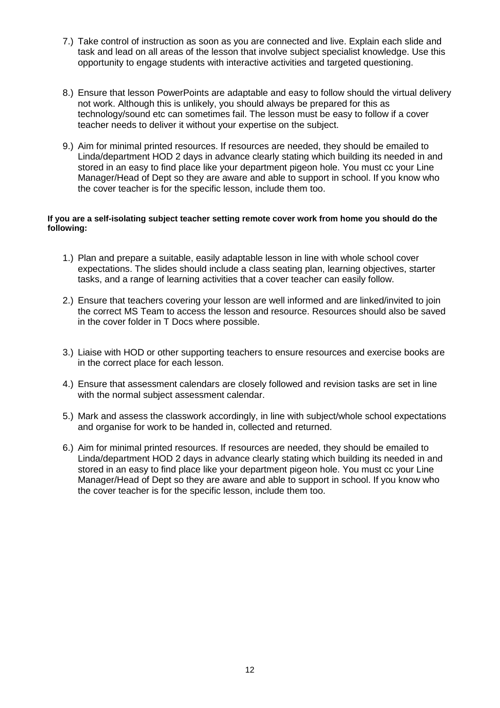- 7.) Take control of instruction as soon as you are connected and live. Explain each slide and task and lead on all areas of the lesson that involve subject specialist knowledge. Use this opportunity to engage students with interactive activities and targeted questioning.
- 8.) Ensure that lesson PowerPoints are adaptable and easy to follow should the virtual delivery not work. Although this is unlikely, you should always be prepared for this as technology/sound etc can sometimes fail. The lesson must be easy to follow if a cover teacher needs to deliver it without your expertise on the subject.
- 9.) Aim for minimal printed resources. If resources are needed, they should be emailed to Linda/department HOD 2 days in advance clearly stating which building its needed in and stored in an easy to find place like your department pigeon hole. You must cc your Line Manager/Head of Dept so they are aware and able to support in school. If you know who the cover teacher is for the specific lesson, include them too.

#### **If you are a self-isolating subject teacher setting remote cover work from home you should do the following:**

- 1.) Plan and prepare a suitable, easily adaptable lesson in line with whole school cover expectations. The slides should include a class seating plan, learning objectives, starter tasks, and a range of learning activities that a cover teacher can easily follow.
- 2.) Ensure that teachers covering your lesson are well informed and are linked/invited to join the correct MS Team to access the lesson and resource. Resources should also be saved in the cover folder in T Docs where possible.
- 3.) Liaise with HOD or other supporting teachers to ensure resources and exercise books are in the correct place for each lesson.
- 4.) Ensure that assessment calendars are closely followed and revision tasks are set in line with the normal subject assessment calendar.
- 5.) Mark and assess the classwork accordingly, in line with subject/whole school expectations and organise for work to be handed in, collected and returned.
- 6.) Aim for minimal printed resources. If resources are needed, they should be emailed to Linda/department HOD 2 days in advance clearly stating which building its needed in and stored in an easy to find place like your department pigeon hole. You must cc your Line Manager/Head of Dept so they are aware and able to support in school. If you know who the cover teacher is for the specific lesson, include them too.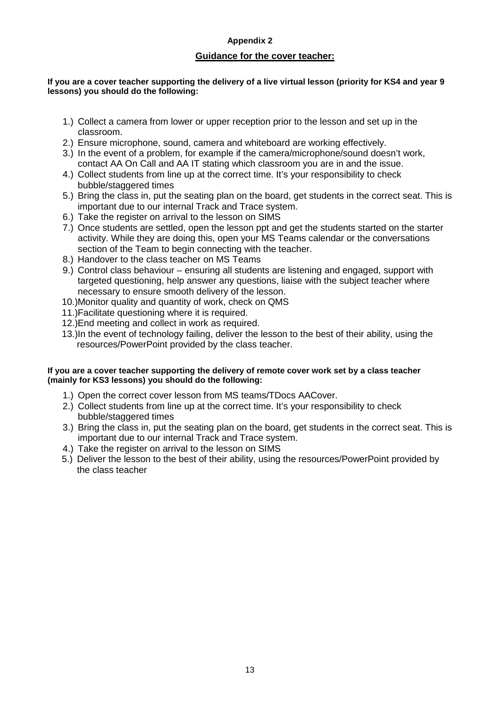## **Appendix 2**

#### **Guidance for the cover teacher:**

#### **If you are a cover teacher supporting the delivery of a live virtual lesson (priority for KS4 and year 9 lessons) you should do the following:**

- 1.) Collect a camera from lower or upper reception prior to the lesson and set up in the classroom.
- 2.) Ensure microphone, sound, camera and whiteboard are working effectively.
- 3.) In the event of a problem, for example if the camera/microphone/sound doesn't work, contact AA On Call and AA IT stating which classroom you are in and the issue.
- 4.) Collect students from line up at the correct time. It's your responsibility to check bubble/staggered times
- 5.) Bring the class in, put the seating plan on the board, get students in the correct seat. This is important due to our internal Track and Trace system.
- 6.) Take the register on arrival to the lesson on SIMS
- 7.) Once students are settled, open the lesson ppt and get the students started on the starter activity. While they are doing this, open your MS Teams calendar or the conversations section of the Team to begin connecting with the teacher.
- 8.) Handover to the class teacher on MS Teams
- 9.) Control class behaviour ensuring all students are listening and engaged, support with targeted questioning, help answer any questions, liaise with the subject teacher where necessary to ensure smooth delivery of the lesson.
- 10.)Monitor quality and quantity of work, check on QMS
- 11.)Facilitate questioning where it is required.
- 12.)End meeting and collect in work as required.
- 13.)In the event of technology failing, deliver the lesson to the best of their ability, using the resources/PowerPoint provided by the class teacher.

#### **If you are a cover teacher supporting the delivery of remote cover work set by a class teacher (mainly for KS3 lessons) you should do the following:**

- 1.) Open the correct cover lesson from MS teams/TDocs AACover.
- 2.) Collect students from line up at the correct time. It's your responsibility to check bubble/staggered times
- 3.) Bring the class in, put the seating plan on the board, get students in the correct seat. This is important due to our internal Track and Trace system.
- 4.) Take the register on arrival to the lesson on SIMS
- 5.) Deliver the lesson to the best of their ability, using the resources/PowerPoint provided by the class teacher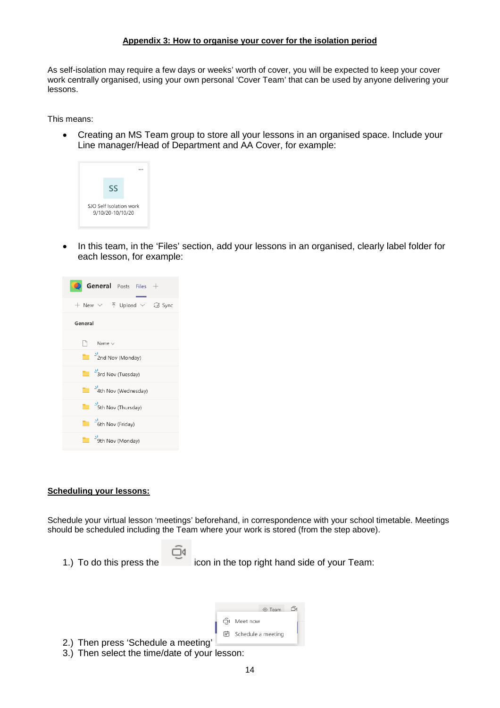#### **Appendix 3: How to organise your cover for the isolation period**

As self-isolation may require a few days or weeks' worth of cover, you will be expected to keep your cover work centrally organised, using your own personal 'Cover Team' that can be used by anyone delivering your lessons.

This means:

• Creating an MS Team group to store all your lessons in an organised space. Include your Line manager/Head of Department and AA Cover, for example:



• In this team, in the 'Files' section, add your lessons in an organised, clearly label folder for each lesson, for example:



#### **Scheduling your lessons:**

Schedule your virtual lesson 'meetings' beforehand, in correspondence with your school timetable. Meetings should be scheduled including the Team where your work is stored (from the step above).

1.) To do this press the incon in the top right hand side of your Team:

|                                          | © Team                  | őι |  |
|------------------------------------------|-------------------------|----|--|
|                                          | □4 Meet now             |    |  |
|                                          | iii] Schedule a meeting |    |  |
| 2.) Then press 'Schedule a meeting'<br>. |                         |    |  |

Ŭ

3.) Then select the time/date of your lesson: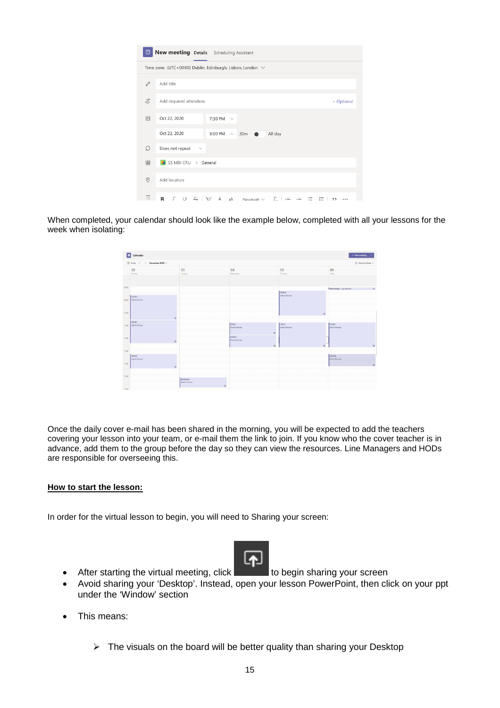| ⊕                                                               |                                              | New meeting Details Scheduling Assistant                                             |            |  |  |  |
|-----------------------------------------------------------------|----------------------------------------------|--------------------------------------------------------------------------------------|------------|--|--|--|
| Time zone: (UTC+00:00) Dublin, Edinburgh, Lisbon, London $\vee$ |                                              |                                                                                      |            |  |  |  |
| 0                                                               | Add title                                    |                                                                                      |            |  |  |  |
| $\stackrel{\circ}{=}$                                           | Add required attendees                       |                                                                                      | + Optional |  |  |  |
| 曲                                                               | Oct 22, 2020                                 | 7:30 PM<br>$\sim$                                                                    |            |  |  |  |
|                                                                 | Oct 22, 2020                                 | 8:00 PM<br>30m<br>All day<br>$\checkmark$                                            |            |  |  |  |
| C                                                               | Does not repeat<br>$\checkmark$              |                                                                                      |            |  |  |  |
| 冒                                                               | SS MBI CRU > General                         |                                                                                      |            |  |  |  |
| $\circledcirc$                                                  | Add location                                 |                                                                                      |            |  |  |  |
| Έ                                                               | R<br>$T$ U $\subseteq$ I $\forall$ A $\land$ | $\equiv$<br>$T_{\cdot\cdot}$ $\cdot=$<br>Paragraph $\vee$<br>;≕<br>$\rightarrow$ $=$ | ,,<br>     |  |  |  |

When completed, your calendar should look like the example below, completed with all your lessons for the week when isolating:



Once the daily cover e-mail has been shared in the morning, you will be expected to add the teachers covering your lesson into your team, or e-mail them the link to join. If you know who the cover teacher is in advance, add them to the group before the day so they can view the resources. Line Managers and HODs are responsible for overseeing this.

#### **How to start the lesson:**

In order for the virtual lesson to begin, you will need to Sharing your screen:



• After starting the virtual meeting, click  $\mathbf{r}$  to begin sharing your screen

- Avoid sharing your 'Desktop'. Instead, open your lesson PowerPoint, then click on your ppt under the 'Window' section
- This means:
	- $\triangleright$  The visuals on the board will be better quality than sharing your Desktop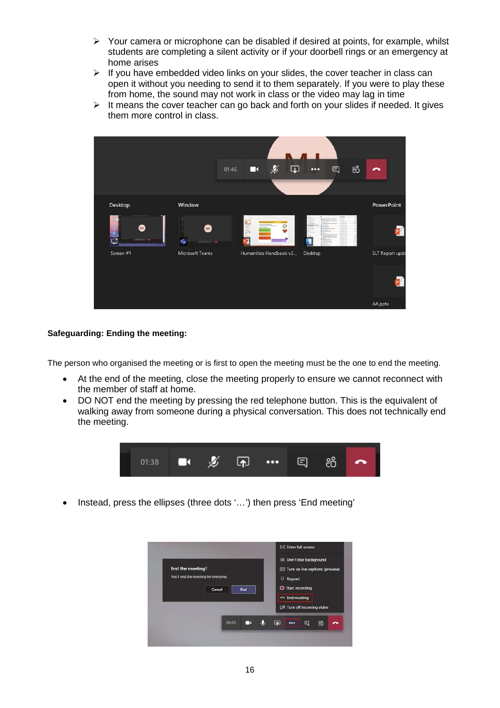- $\triangleright$  Your camera or microphone can be disabled if desired at points, for example, whilst students are completing a silent activity or if your doorbell rings or an emergency at home arises
- $\triangleright$  If you have embedded video links on your slides, the cover teacher in class can open it without you needing to send it to them separately. If you were to play these from home, the sound may not work in class or the video may lag in time
- $\triangleright$  It means the cover teacher can go back and forth on your slides if needed. It gives them more control in class.



### **Safeguarding: Ending the meeting:**

The person who organised the meeting or is first to open the meeting must be the one to end the meeting.

- At the end of the meeting, close the meeting properly to ensure we cannot reconnect with the member of staff at home.
- DO NOT end the meeting by pressing the red telephone button. This is the equivalent of walking away from someone during a physical conversation. This does not technically end the meeting.



• Instead, press the ellipses (three dots '…') then press 'End meeting'

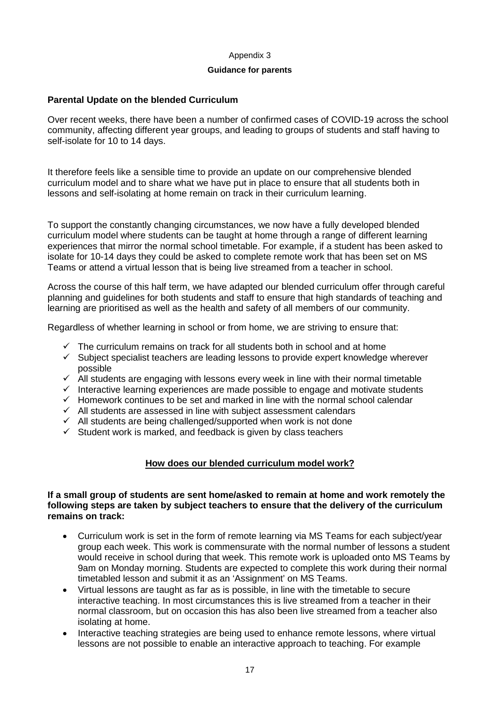#### Appendix 3

#### **Guidance for parents**

## **Parental Update on the blended Curriculum**

Over recent weeks, there have been a number of confirmed cases of COVID-19 across the school community, affecting different year groups, and leading to groups of students and staff having to self-isolate for 10 to 14 days.

It therefore feels like a sensible time to provide an update on our comprehensive blended curriculum model and to share what we have put in place to ensure that all students both in lessons and self-isolating at home remain on track in their curriculum learning.

To support the constantly changing circumstances, we now have a fully developed blended curriculum model where students can be taught at home through a range of different learning experiences that mirror the normal school timetable. For example, if a student has been asked to isolate for 10-14 days they could be asked to complete remote work that has been set on MS Teams or attend a virtual lesson that is being live streamed from a teacher in school.

Across the course of this half term, we have adapted our blended curriculum offer through careful planning and guidelines for both students and staff to ensure that high standards of teaching and learning are prioritised as well as the health and safety of all members of our community.

Regardless of whether learning in school or from home, we are striving to ensure that:

- $\checkmark$  The curriculum remains on track for all students both in school and at home
- $\checkmark$  Subject specialist teachers are leading lessons to provide expert knowledge wherever possible
- $\checkmark$  All students are engaging with lessons every week in line with their normal timetable
- $\checkmark$  Interactive learning experiences are made possible to engage and motivate students
- $\checkmark$  Homework continues to be set and marked in line with the normal school calendar
- $\checkmark$  All students are assessed in line with subject assessment calendars
- $\checkmark$  All students are being challenged/supported when work is not done
- $\checkmark$  Student work is marked, and feedback is given by class teachers

## **How does our blended curriculum model work?**

#### **If a small group of students are sent home/asked to remain at home and work remotely the following steps are taken by subject teachers to ensure that the delivery of the curriculum remains on track:**

- Curriculum work is set in the form of remote learning via MS Teams for each subject/year group each week. This work is commensurate with the normal number of lessons a student would receive in school during that week. This remote work is uploaded onto MS Teams by 9am on Monday morning. Students are expected to complete this work during their normal timetabled lesson and submit it as an 'Assignment' on MS Teams.
- Virtual lessons are taught as far as is possible, in line with the timetable to secure interactive teaching. In most circumstances this is live streamed from a teacher in their normal classroom, but on occasion this has also been live streamed from a teacher also isolating at home.
- Interactive teaching strategies are being used to enhance remote lessons, where virtual lessons are not possible to enable an interactive approach to teaching. For example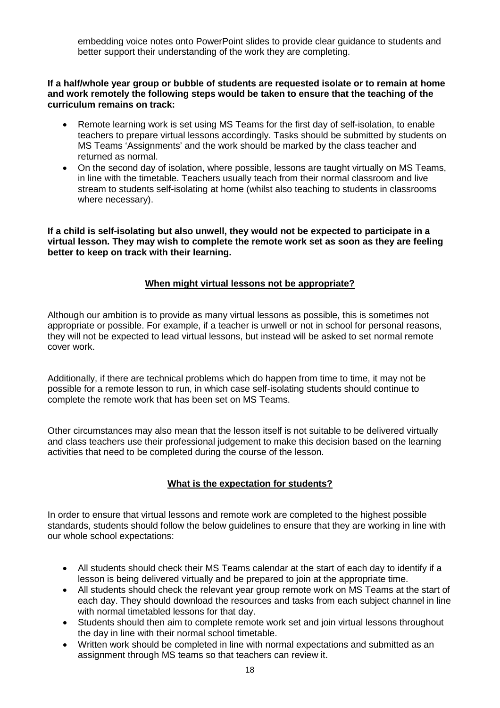embedding voice notes onto PowerPoint slides to provide clear guidance to students and better support their understanding of the work they are completing.

**If a half/whole year group or bubble of students are requested isolate or to remain at home and work remotely the following steps would be taken to ensure that the teaching of the curriculum remains on track:**

- Remote learning work is set using MS Teams for the first day of self-isolation, to enable teachers to prepare virtual lessons accordingly. Tasks should be submitted by students on MS Teams 'Assignments' and the work should be marked by the class teacher and returned as normal.
- On the second day of isolation, where possible, lessons are taught virtually on MS Teams, in line with the timetable. Teachers usually teach from their normal classroom and live stream to students self-isolating at home (whilst also teaching to students in classrooms where necessary).

**If a child is self-isolating but also unwell, they would not be expected to participate in a virtual lesson. They may wish to complete the remote work set as soon as they are feeling better to keep on track with their learning.**

## **When might virtual lessons not be appropriate?**

Although our ambition is to provide as many virtual lessons as possible, this is sometimes not appropriate or possible. For example, if a teacher is unwell or not in school for personal reasons, they will not be expected to lead virtual lessons, but instead will be asked to set normal remote cover work.

Additionally, if there are technical problems which do happen from time to time, it may not be possible for a remote lesson to run, in which case self-isolating students should continue to complete the remote work that has been set on MS Teams.

Other circumstances may also mean that the lesson itself is not suitable to be delivered virtually and class teachers use their professional judgement to make this decision based on the learning activities that need to be completed during the course of the lesson.

## **What is the expectation for students?**

In order to ensure that virtual lessons and remote work are completed to the highest possible standards, students should follow the below guidelines to ensure that they are working in line with our whole school expectations:

- All students should check their MS Teams calendar at the start of each day to identify if a lesson is being delivered virtually and be prepared to join at the appropriate time.
- All students should check the relevant year group remote work on MS Teams at the start of each day. They should download the resources and tasks from each subject channel in line with normal timetabled lessons for that day.
- Students should then aim to complete remote work set and join virtual lessons throughout the day in line with their normal school timetable.
- Written work should be completed in line with normal expectations and submitted as an assignment through MS teams so that teachers can review it.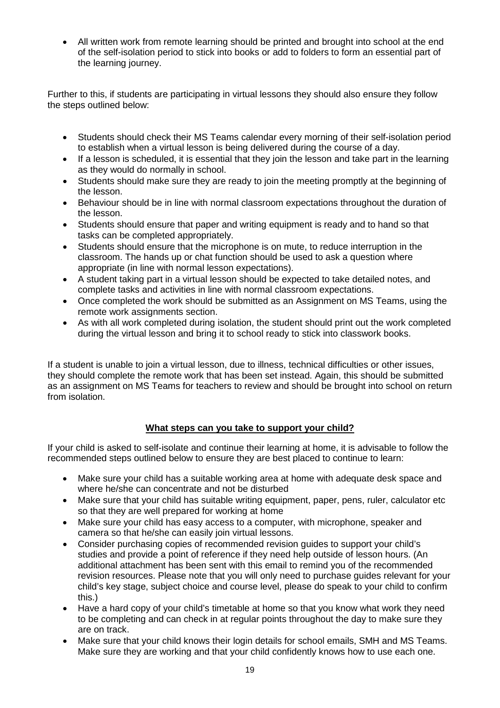• All written work from remote learning should be printed and brought into school at the end of the self-isolation period to stick into books or add to folders to form an essential part of the learning journey.

Further to this, if students are participating in virtual lessons they should also ensure they follow the steps outlined below:

- Students should check their MS Teams calendar every morning of their self-isolation period to establish when a virtual lesson is being delivered during the course of a day.
- If a lesson is scheduled, it is essential that they join the lesson and take part in the learning as they would do normally in school.
- Students should make sure they are ready to join the meeting promptly at the beginning of the lesson.
- Behaviour should be in line with normal classroom expectations throughout the duration of the lesson.
- Students should ensure that paper and writing equipment is ready and to hand so that tasks can be completed appropriately.
- Students should ensure that the microphone is on mute, to reduce interruption in the classroom. The hands up or chat function should be used to ask a question where appropriate (in line with normal lesson expectations).
- A student taking part in a virtual lesson should be expected to take detailed notes, and complete tasks and activities in line with normal classroom expectations.
- Once completed the work should be submitted as an Assignment on MS Teams, using the remote work assignments section.
- As with all work completed during isolation, the student should print out the work completed during the virtual lesson and bring it to school ready to stick into classwork books.

If a student is unable to join a virtual lesson, due to illness, technical difficulties or other issues, they should complete the remote work that has been set instead. Again, this should be submitted as an assignment on MS Teams for teachers to review and should be brought into school on return from isolation.

## **What steps can you take to support your child?**

If your child is asked to self-isolate and continue their learning at home, it is advisable to follow the recommended steps outlined below to ensure they are best placed to continue to learn:

- Make sure your child has a suitable working area at home with adequate desk space and where he/she can concentrate and not be disturbed
- Make sure that your child has suitable writing equipment, paper, pens, ruler, calculator etc so that they are well prepared for working at home
- Make sure your child has easy access to a computer, with microphone, speaker and camera so that he/she can easily join virtual lessons.
- Consider purchasing copies of recommended revision guides to support your child's studies and provide a point of reference if they need help outside of lesson hours. (An additional attachment has been sent with this email to remind you of the recommended revision resources. Please note that you will only need to purchase guides relevant for your child's key stage, subject choice and course level, please do speak to your child to confirm this.)
- Have a hard copy of your child's timetable at home so that you know what work they need to be completing and can check in at regular points throughout the day to make sure they are on track.
- Make sure that your child knows their login details for school emails, SMH and MS Teams. Make sure they are working and that your child confidently knows how to use each one.